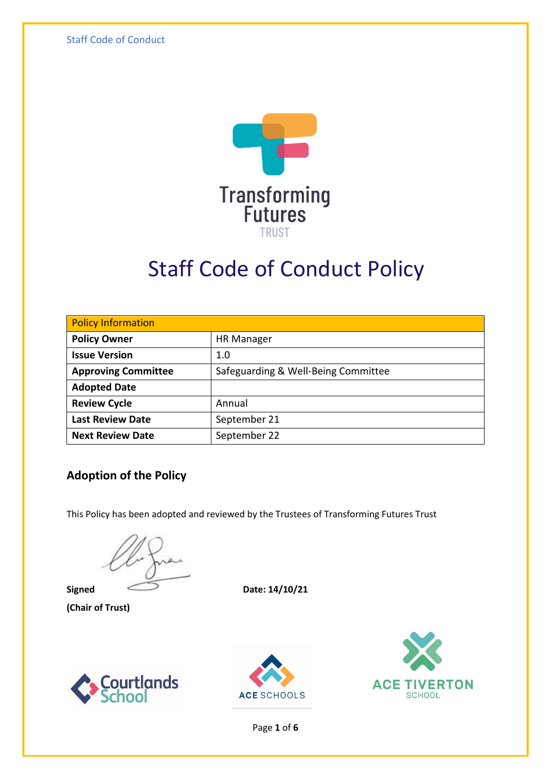Staff Code of Conduct



# Staff Code of Conduct Policy

| <b>Policy Information</b>  |                                     |  |
|----------------------------|-------------------------------------|--|
| <b>Policy Owner</b>        | <b>HR Manager</b>                   |  |
| <b>Issue Version</b>       | 1.0                                 |  |
| <b>Approving Committee</b> | Safeguarding & Well-Being Committee |  |
| <b>Adopted Date</b>        |                                     |  |
| <b>Review Cycle</b>        | Annual                              |  |
| <b>Last Review Date</b>    | September 21                        |  |
| <b>Next Review Date</b>    | September 22                        |  |

#### **Adoption of the Policy**

This Policy has been adopted and reviewed by the Trustees of Transforming Futures Trust

**(Chair of Trust)**

**Signed** Date:  $14/10/21$ 







Page **1** of **6**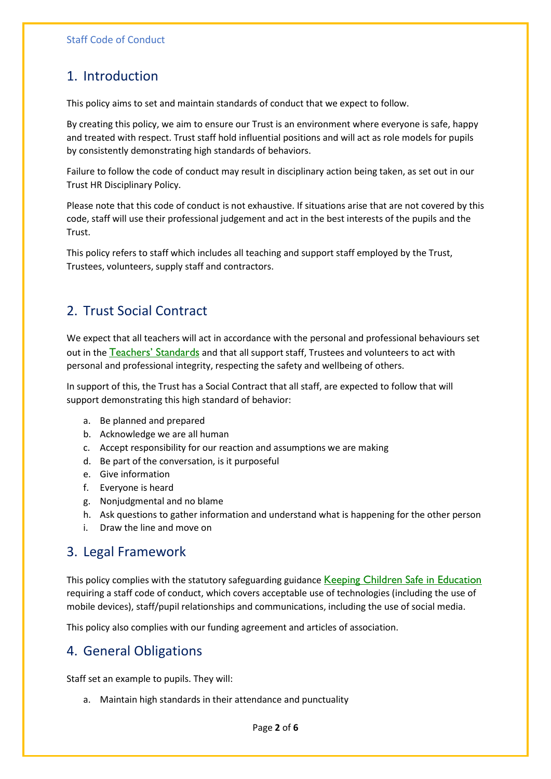### 1. Introduction

This policy aims to set and maintain standards of conduct that we expect to follow.

By creating this policy, we aim to ensure our Trust is an environment where everyone is safe, happy and treated with respect. Trust staff hold influential positions and will act as role models for pupils by consistently demonstrating high standards of behaviors.

Failure to follow the code of conduct may result in disciplinary action being taken, as set out in our Trust HR Disciplinary Policy.

Please note that this code of conduct is not exhaustive. If situations arise that are not covered by this code, staff will use their professional judgement and act in the best interests of the pupils and the Trust.

This policy refers to staff which includes all teaching and support staff employed by the Trust, Trustees, volunteers, supply staff and contractors.

# 2. Trust Social Contract

We expect that all teachers will act in accordance with the personal and professional behaviours set out in the [Teachers' Standards](https://www.gov.uk/government/publications/teachers-standards) and that all support staff, Trustees and volunteers to act with personal and professional integrity, respecting the safety and wellbeing of others.

In support of this, the Trust has a Social Contract that all staff, are expected to follow that will support demonstrating this high standard of behavior:

- a. Be planned and prepared
- b. Acknowledge we are all human
- c. Accept responsibility for our reaction and assumptions we are making
- d. Be part of the conversation, is it purposeful
- e. Give information
- f. Everyone is heard
- g. Nonjudgmental and no blame
- h. Ask questions to gather information and understand what is happening for the other person
- i. Draw the line and move on

#### 3. Legal Framework

This policy complies with the statutory safeguarding guidance [Keeping Children Safe in Education](https://www.gov.uk/government/publications/keeping-children-safe-in-education--2) requiring a staff code of conduct, which covers acceptable use of technologies (including the use of mobile devices), staff/pupil relationships and communications, including the use of social media.

This policy also complies with our funding agreement and articles of association.

#### 4. General Obligations

Staff set an example to pupils. They will:

a. Maintain high standards in their attendance and punctuality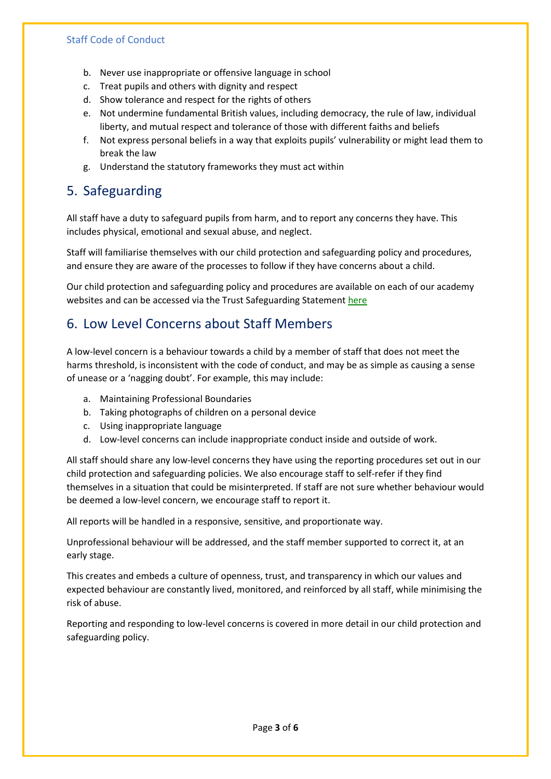#### Staff Code of Conduct

- b. Never use inappropriate or offensive language in school
- c. Treat pupils and others with dignity and respect
- d. Show tolerance and respect for the rights of others
- e. Not undermine fundamental British values, including democracy, the rule of law, individual liberty, and mutual respect and tolerance of those with different faiths and beliefs
- f. Not express personal beliefs in a way that exploits pupils' vulnerability or might lead them to break the law
- g. Understand the statutory frameworks they must act within

#### 5. Safeguarding

All staff have a duty to safeguard pupils from harm, and to report any concerns they have. This includes physical, emotional and sexual abuse, and neglect.

Staff will familiarise themselves with our child protection and safeguarding policy and procedures, and ensure they are aware of the processes to follow if they have concerns about a child.

Our child protection and safeguarding policy and procedures are available on each of our academy websites and can be accessed via the Trust Safeguarding Statement [here](https://www.transformingfutures.org.uk/attachments/download.asp?file=425&type=pdf)

#### 6. Low Level Concerns about Staff Members

A low-level concern is a behaviour towards a child by a member of staff that does not meet the harms threshold, is inconsistent with the code of conduct, and may be as simple as causing a sense of unease or a 'nagging doubt'. For example, this may include:

- a. Maintaining Professional Boundaries
- b. Taking photographs of children on a personal device
- c. Using inappropriate language
- d. Low-level concerns can include inappropriate conduct inside and outside of work.

All staff should share any low-level concerns they have using the reporting procedures set out in our child protection and safeguarding policies. We also encourage staff to self-refer if they find themselves in a situation that could be misinterpreted. If staff are not sure whether behaviour would be deemed a low-level concern, we encourage staff to report it.

All reports will be handled in a responsive, sensitive, and proportionate way.

Unprofessional behaviour will be addressed, and the staff member supported to correct it, at an early stage.

This creates and embeds a culture of openness, trust, and transparency in which our values and expected behaviour are constantly lived, monitored, and reinforced by all staff, while minimising the risk of abuse.

Reporting and responding to low-level concerns is covered in more detail in our child protection and safeguarding policy.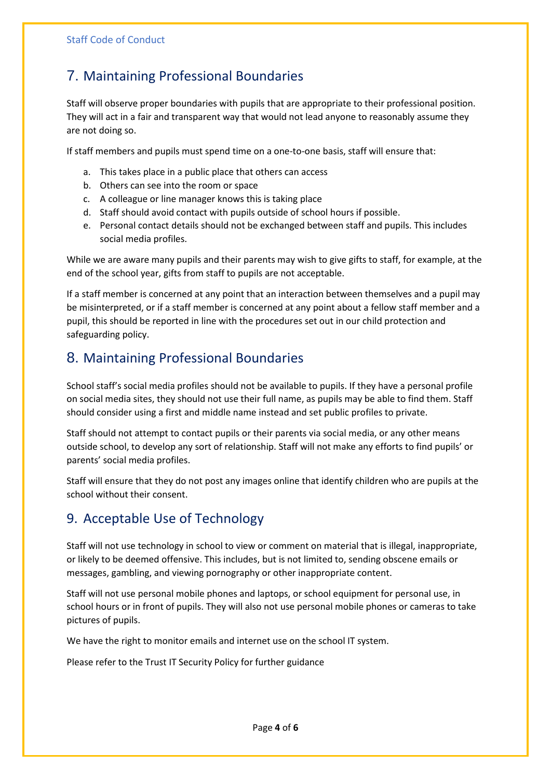# 7. Maintaining Professional Boundaries

Staff will observe proper boundaries with pupils that are appropriate to their professional position. They will act in a fair and transparent way that would not lead anyone to reasonably assume they are not doing so.

If staff members and pupils must spend time on a one-to-one basis, staff will ensure that:

- a. This takes place in a public place that others can access
- b. Others can see into the room or space
- c. A colleague or line manager knows this is taking place
- d. Staff should avoid contact with pupils outside of school hours if possible.
- e. Personal contact details should not be exchanged between staff and pupils. This includes social media profiles.

While we are aware many pupils and their parents may wish to give gifts to staff, for example, at the end of the school year, gifts from staff to pupils are not acceptable.

If a staff member is concerned at any point that an interaction between themselves and a pupil may be misinterpreted, or if a staff member is concerned at any point about a fellow staff member and a pupil, this should be reported in line with the procedures set out in our child protection and safeguarding policy.

# 8. Maintaining Professional Boundaries

School staff's social media profiles should not be available to pupils. If they have a personal profile on social media sites, they should not use their full name, as pupils may be able to find them. Staff should consider using a first and middle name instead and set public profiles to private.

Staff should not attempt to contact pupils or their parents via social media, or any other means outside school, to develop any sort of relationship. Staff will not make any efforts to find pupils' or parents' social media profiles.

Staff will ensure that they do not post any images online that identify children who are pupils at the school without their consent.

# 9. Acceptable Use of Technology

Staff will not use technology in school to view or comment on material that is illegal, inappropriate, or likely to be deemed offensive. This includes, but is not limited to, sending obscene emails or messages, gambling, and viewing pornography or other inappropriate content.

Staff will not use personal mobile phones and laptops, or school equipment for personal use, in school hours or in front of pupils. They will also not use personal mobile phones or cameras to take pictures of pupils.

We have the right to monitor emails and internet use on the school IT system.

Please refer to the Trust IT Security Policy for further guidance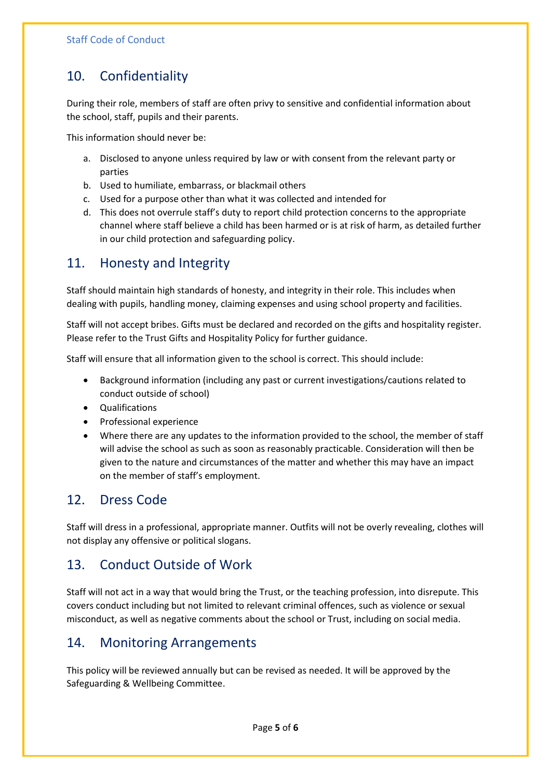# 10. Confidentiality

During their role, members of staff are often privy to sensitive and confidential information about the school, staff, pupils and their parents.

This information should never be:

- a. Disclosed to anyone unless required by law or with consent from the relevant party or parties
- b. Used to humiliate, embarrass, or blackmail others
- c. Used for a purpose other than what it was collected and intended for
- d. This does not overrule staff's duty to report child protection concerns to the appropriate channel where staff believe a child has been harmed or is at risk of harm, as detailed further in our child protection and safeguarding policy.

### 11. Honesty and Integrity

Staff should maintain high standards of honesty, and integrity in their role. This includes when dealing with pupils, handling money, claiming expenses and using school property and facilities.

Staff will not accept bribes. Gifts must be declared and recorded on the gifts and hospitality register. Please refer to the Trust Gifts and Hospitality Policy for further guidance.

Staff will ensure that all information given to the school is correct. This should include:

- Background information (including any past or current investigations/cautions related to conduct outside of school)
- Qualifications
- Professional experience
- Where there are any updates to the information provided to the school, the member of staff will advise the school as such as soon as reasonably practicable. Consideration will then be given to the nature and circumstances of the matter and whether this may have an impact on the member of staff's employment.

#### 12. Dress Code

Staff will dress in a professional, appropriate manner. Outfits will not be overly revealing, clothes will not display any offensive or political slogans.

# 13. Conduct Outside of Work

Staff will not act in a way that would bring the Trust, or the teaching profession, into disrepute. This covers conduct including but not limited to relevant criminal offences, such as violence or sexual misconduct, as well as negative comments about the school or Trust, including on social media.

# 14. Monitoring Arrangements

This policy will be reviewed annually but can be revised as needed. It will be approved by the Safeguarding & Wellbeing Committee.